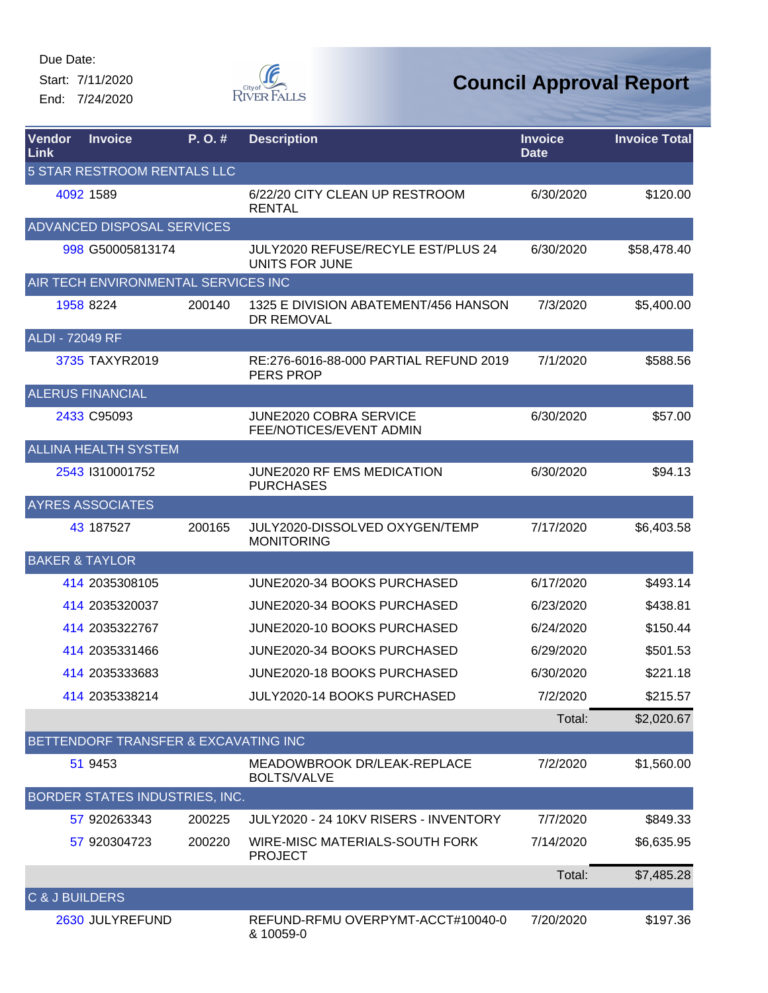Start: 7/11/2020 End: 7/24/2020



| Vendor<br>Link            | <b>Invoice</b>                       | P. O. # | <b>Description</b>                                          | <b>Invoice</b><br><b>Date</b> | <b>Invoice Total</b> |
|---------------------------|--------------------------------------|---------|-------------------------------------------------------------|-------------------------------|----------------------|
|                           | <b>5 STAR RESTROOM RENTALS LLC</b>   |         |                                                             |                               |                      |
|                           | 4092 1589                            |         | 6/22/20 CITY CLEAN UP RESTROOM<br><b>RENTAL</b>             | 6/30/2020                     | \$120.00             |
|                           | <b>ADVANCED DISPOSAL SERVICES</b>    |         |                                                             |                               |                      |
|                           | 998 G50005813174                     |         | JULY2020 REFUSE/RECYLE EST/PLUS 24<br><b>UNITS FOR JUNE</b> | 6/30/2020                     | \$58,478.40          |
|                           | AIR TECH ENVIRONMENTAL SERVICES INC  |         |                                                             |                               |                      |
|                           | 1958 8224                            | 200140  | 1325 E DIVISION ABATEMENT/456 HANSON<br>DR REMOVAL          | 7/3/2020                      | \$5,400.00           |
| <b>ALDI - 72049 RF</b>    |                                      |         |                                                             |                               |                      |
|                           | 3735 TAXYR2019                       |         | RE:276-6016-88-000 PARTIAL REFUND 2019<br><b>PERS PROP</b>  | 7/1/2020                      | \$588.56             |
|                           | <b>ALERUS FINANCIAL</b>              |         |                                                             |                               |                      |
|                           | 2433 C95093                          |         | JUNE2020 COBRA SERVICE<br>FEE/NOTICES/EVENT ADMIN           | 6/30/2020                     | \$57.00              |
|                           | <b>ALLINA HEALTH SYSTEM</b>          |         |                                                             |                               |                      |
|                           | 2543 1310001752                      |         | JUNE2020 RF EMS MEDICATION<br><b>PURCHASES</b>              | 6/30/2020                     | \$94.13              |
|                           | <b>AYRES ASSOCIATES</b>              |         |                                                             |                               |                      |
|                           | 43 187527                            | 200165  | JULY2020-DISSOLVED OXYGEN/TEMP<br><b>MONITORING</b>         | 7/17/2020                     | \$6,403.58           |
|                           | <b>BAKER &amp; TAYLOR</b>            |         |                                                             |                               |                      |
|                           | 414 2035308105                       |         | JUNE2020-34 BOOKS PURCHASED                                 | 6/17/2020                     | \$493.14             |
|                           | 414 2035320037                       |         | JUNE2020-34 BOOKS PURCHASED                                 | 6/23/2020                     | \$438.81             |
|                           | 414 2035322767                       |         | JUNE2020-10 BOOKS PURCHASED                                 | 6/24/2020                     | \$150.44             |
|                           | 414 2035331466                       |         | JUNE2020-34 BOOKS PURCHASED                                 | 6/29/2020                     | \$501.53             |
|                           | 414 2035333683                       |         | JUNE2020-18 BOOKS PURCHASED                                 | 6/30/2020                     | \$221.18             |
|                           | 414 2035338214                       |         | JULY2020-14 BOOKS PURCHASED                                 | 7/2/2020                      | \$215.57             |
|                           |                                      |         |                                                             | Total:                        | \$2,020.67           |
|                           | BETTENDORF TRANSFER & EXCAVATING INC |         |                                                             |                               |                      |
|                           | 51 9453                              |         | MEADOWBROOK DR/LEAK-REPLACE<br><b>BOLTS/VALVE</b>           | 7/2/2020                      | \$1,560.00           |
|                           | BORDER STATES INDUSTRIES, INC.       |         |                                                             |                               |                      |
|                           | 57 920263343                         | 200225  | JULY2020 - 24 10KV RISERS - INVENTORY                       | 7/7/2020                      | \$849.33             |
|                           | 57 920304723                         | 200220  | WIRE-MISC MATERIALS-SOUTH FORK<br><b>PROJECT</b>            | 7/14/2020                     | \$6,635.95           |
|                           |                                      |         |                                                             | Total:                        | \$7,485.28           |
| <b>C &amp; J BUILDERS</b> |                                      |         |                                                             |                               |                      |
|                           | 2630 JULYREFUND                      |         | REFUND-RFMU OVERPYMT-ACCT#10040-0<br>& 10059-0              | 7/20/2020                     | \$197.36             |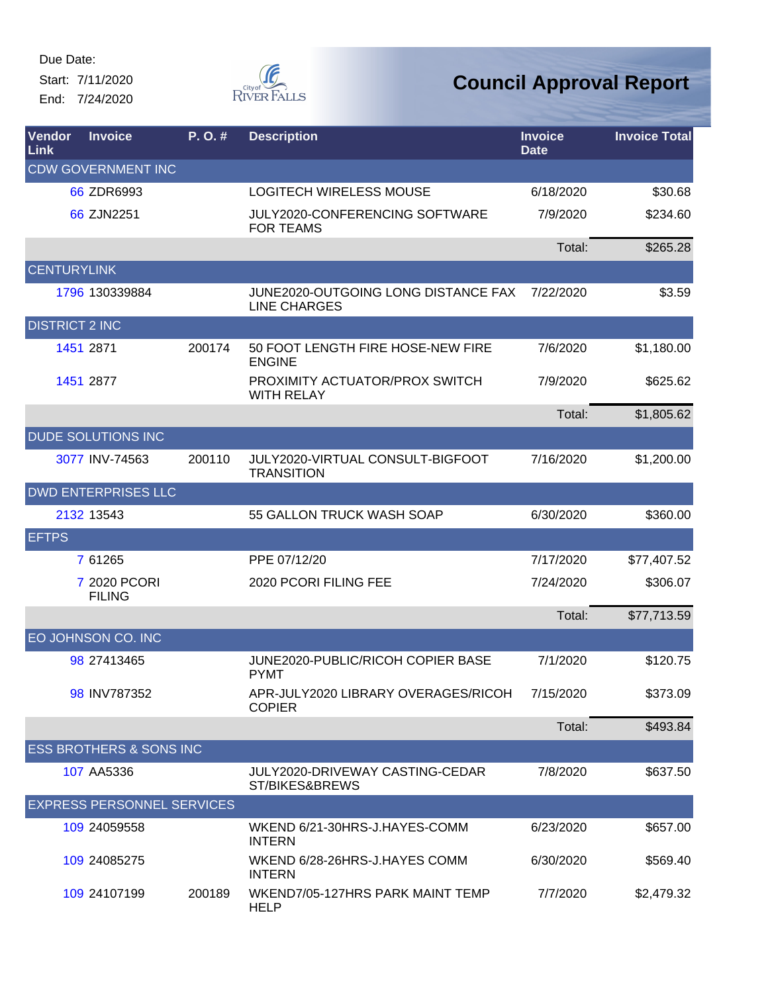Start: 7/11/2020 End: 7/24/2020



| Vendor<br>Link        | <b>Invoice</b>                     | P. O. # | <b>Description</b>                                         | <b>Invoice</b><br><b>Date</b> | <b>Invoice Total</b> |
|-----------------------|------------------------------------|---------|------------------------------------------------------------|-------------------------------|----------------------|
|                       | <b>CDW GOVERNMENT INC</b>          |         |                                                            |                               |                      |
|                       | 66 ZDR6993                         |         | <b>LOGITECH WIRELESS MOUSE</b>                             | 6/18/2020                     | \$30.68              |
|                       | 66 ZJN2251                         |         | <b>JULY2020-CONFERENCING SOFTWARE</b><br><b>FOR TEAMS</b>  | 7/9/2020                      | \$234.60             |
|                       |                                    |         |                                                            | Total:                        | \$265.28             |
| <b>CENTURYLINK</b>    |                                    |         |                                                            |                               |                      |
|                       | 1796 130339884                     |         | JUNE2020-OUTGOING LONG DISTANCE FAX<br><b>LINE CHARGES</b> | 7/22/2020                     | \$3.59               |
| <b>DISTRICT 2 INC</b> |                                    |         |                                                            |                               |                      |
|                       | 1451 2871                          | 200174  | 50 FOOT LENGTH FIRE HOSE-NEW FIRE<br><b>ENGINE</b>         | 7/6/2020                      | \$1,180.00           |
|                       | 1451 2877                          |         | PROXIMITY ACTUATOR/PROX SWITCH<br><b>WITH RELAY</b>        | 7/9/2020                      | \$625.62             |
|                       |                                    |         |                                                            | Total:                        | \$1,805.62           |
|                       | <b>DUDE SOLUTIONS INC</b>          |         |                                                            |                               |                      |
|                       | 3077 INV-74563                     | 200110  | JULY2020-VIRTUAL CONSULT-BIGFOOT<br><b>TRANSITION</b>      | 7/16/2020                     | \$1,200.00           |
|                       | <b>DWD ENTERPRISES LLC</b>         |         |                                                            |                               |                      |
|                       | 2132 13543                         |         | 55 GALLON TRUCK WASH SOAP                                  | 6/30/2020                     | \$360.00             |
| <b>EFTPS</b>          |                                    |         |                                                            |                               |                      |
|                       | 7 61265                            |         | PPE 07/12/20                                               | 7/17/2020                     | \$77,407.52          |
|                       | 7 2020 PCORI<br><b>FILING</b>      |         | 2020 PCORI FILING FEE                                      | 7/24/2020                     | \$306.07             |
|                       |                                    |         |                                                            | Total:                        | \$77,713.59          |
|                       | EO JOHNSON CO. INC                 |         |                                                            |                               |                      |
|                       | 98 27413465                        |         | JUNE2020-PUBLIC/RICOH COPIER BASE<br><b>PYMT</b>           | 7/1/2020                      | \$120.75             |
|                       | 98 INV787352                       |         | APR-JULY2020 LIBRARY OVERAGES/RICOH<br><b>COPIER</b>       | 7/15/2020                     | \$373.09             |
|                       |                                    |         |                                                            | Total:                        | \$493.84             |
|                       | <b>ESS BROTHERS &amp; SONS INC</b> |         |                                                            |                               |                      |
|                       | 107 AA5336                         |         | JULY2020-DRIVEWAY CASTING-CEDAR<br>ST/BIKES&BREWS          | 7/8/2020                      | \$637.50             |
|                       | <b>EXPRESS PERSONNEL SERVICES</b>  |         |                                                            |                               |                      |
|                       | 109 24059558                       |         | WKEND 6/21-30HRS-J.HAYES-COMM<br><b>INTERN</b>             | 6/23/2020                     | \$657.00             |
|                       | 109 24085275                       |         | WKEND 6/28-26HRS-J.HAYES COMM<br><b>INTERN</b>             | 6/30/2020                     | \$569.40             |
|                       | 109 24107199                       | 200189  | WKEND7/05-127HRS PARK MAINT TEMP<br><b>HELP</b>            | 7/7/2020                      | \$2,479.32           |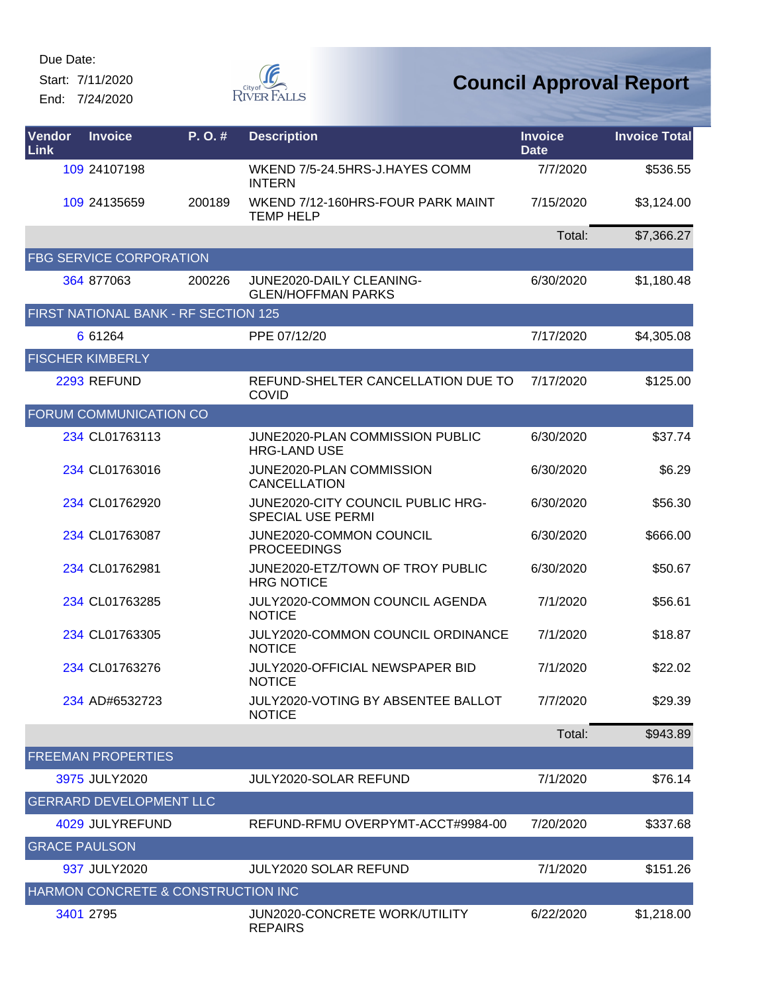Start: 7/11/2020 End: 7/24/2020



| <b>Vendor</b><br>Link | <b>Invoice</b>                       | P.O.#  | <b>Description</b>                                            | <b>Invoice</b><br><b>Date</b> | <b>Invoice Total</b> |
|-----------------------|--------------------------------------|--------|---------------------------------------------------------------|-------------------------------|----------------------|
|                       | 109 24107198                         |        | WKEND 7/5-24.5HRS-J.HAYES COMM<br><b>INTERN</b>               | 7/7/2020                      | \$536.55             |
|                       | 109 24135659                         | 200189 | WKEND 7/12-160HRS-FOUR PARK MAINT<br><b>TEMP HELP</b>         | 7/15/2020                     | \$3,124.00           |
|                       |                                      |        |                                                               | Total:                        | \$7,366.27           |
|                       | <b>FBG SERVICE CORPORATION</b>       |        |                                                               |                               |                      |
|                       | 364 877063                           | 200226 | JUNE2020-DAILY CLEANING-<br><b>GLEN/HOFFMAN PARKS</b>         | 6/30/2020                     | \$1,180.48           |
|                       | FIRST NATIONAL BANK - RF SECTION 125 |        |                                                               |                               |                      |
|                       | 6 61264                              |        | PPE 07/12/20                                                  | 7/17/2020                     | \$4,305.08           |
|                       | <b>FISCHER KIMBERLY</b>              |        |                                                               |                               |                      |
|                       | 2293 REFUND                          |        | REFUND-SHELTER CANCELLATION DUE TO<br>COVID                   | 7/17/2020                     | \$125.00             |
|                       | FORUM COMMUNICATION CO               |        |                                                               |                               |                      |
|                       | 234 CL01763113                       |        | <b>JUNE2020-PLAN COMMISSION PUBLIC</b><br><b>HRG-LAND USE</b> | 6/30/2020                     | \$37.74              |
|                       | 234 CL01763016                       |        | JUNE2020-PLAN COMMISSION<br>CANCELLATION                      | 6/30/2020                     | \$6.29               |
|                       | 234 CL01762920                       |        | JUNE2020-CITY COUNCIL PUBLIC HRG-<br><b>SPECIAL USE PERMI</b> | 6/30/2020                     | \$56.30              |
|                       | 234 CL01763087                       |        | JUNE2020-COMMON COUNCIL<br><b>PROCEEDINGS</b>                 | 6/30/2020                     | \$666.00             |
|                       | 234 CL01762981                       |        | JUNE2020-ETZ/TOWN OF TROY PUBLIC<br><b>HRG NOTICE</b>         | 6/30/2020                     | \$50.67              |
|                       | 234 CL01763285                       |        | JULY2020-COMMON COUNCIL AGENDA<br><b>NOTICE</b>               | 7/1/2020                      | \$56.61              |
|                       | 234 CL01763305                       |        | JULY2020-COMMON COUNCIL ORDINANCE<br><b>NOTICE</b>            | 7/1/2020                      | \$18.87              |
|                       | 234 CL01763276                       |        | JULY2020-OFFICIAL NEWSPAPER BID<br><b>NOTICE</b>              | 7/1/2020                      | \$22.02              |
|                       | 234 AD#6532723                       |        | JULY2020-VOTING BY ABSENTEE BALLOT<br><b>NOTICE</b>           | 7/7/2020                      | \$29.39              |
|                       |                                      |        |                                                               | Total:                        | \$943.89             |
|                       | <b>FREEMAN PROPERTIES</b>            |        |                                                               |                               |                      |
|                       | 3975 JULY2020                        |        | JULY2020-SOLAR REFUND                                         | 7/1/2020                      | \$76.14              |
|                       | <b>GERRARD DEVELOPMENT LLC</b>       |        |                                                               |                               |                      |
|                       | 4029 JULYREFUND                      |        | REFUND-RFMU OVERPYMT-ACCT#9984-00                             | 7/20/2020                     | \$337.68             |
| <b>GRACE PAULSON</b>  |                                      |        |                                                               |                               |                      |
|                       | 937 JULY2020                         |        | <b>JULY2020 SOLAR REFUND</b>                                  | 7/1/2020                      | \$151.26             |
|                       | HARMON CONCRETE & CONSTRUCTION INC   |        |                                                               |                               |                      |
|                       | 3401 2795                            |        | <b>JUN2020-CONCRETE WORK/UTILITY</b><br><b>REPAIRS</b>        | 6/22/2020                     | \$1,218.00           |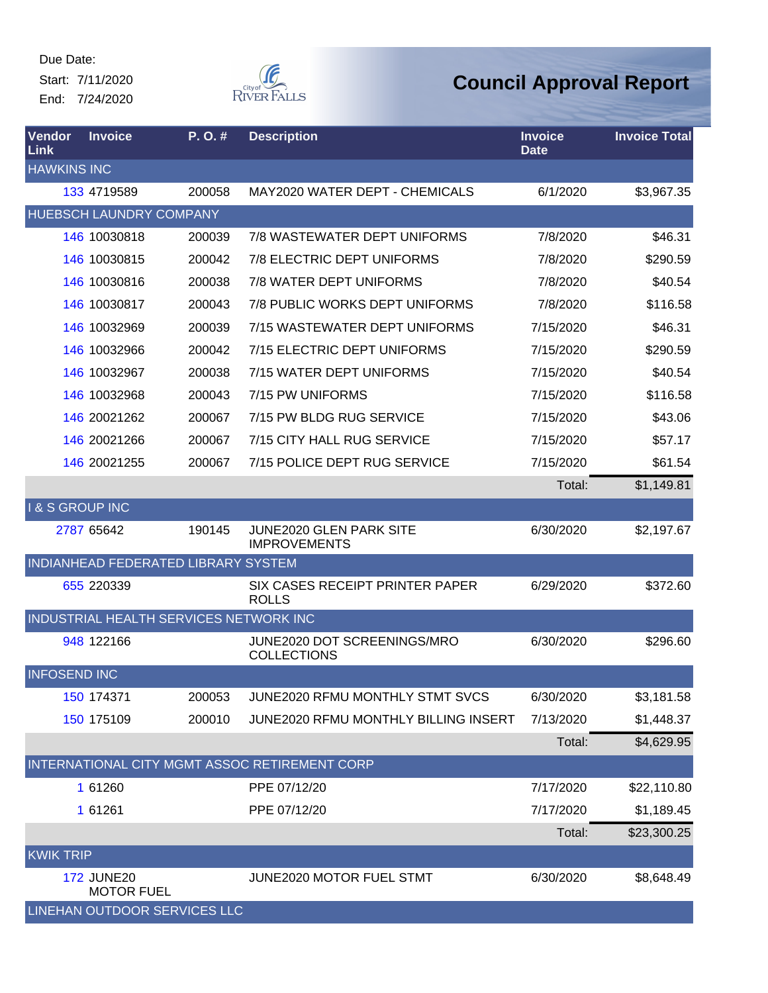Start: 7/11/2020 End: 7/24/2020



| Vendor<br>Link             | <b>Invoice</b>                         | P.O.#  | <b>Description</b>                                    | <b>Invoice</b><br><b>Date</b> | <b>Invoice Total</b> |
|----------------------------|----------------------------------------|--------|-------------------------------------------------------|-------------------------------|----------------------|
| <b>HAWKINS INC</b>         |                                        |        |                                                       |                               |                      |
|                            | 133 4719589                            | 200058 | MAY2020 WATER DEPT - CHEMICALS                        | 6/1/2020                      | \$3,967.35           |
|                            | <b>HUEBSCH LAUNDRY COMPANY</b>         |        |                                                       |                               |                      |
|                            | 146 10030818                           | 200039 | 7/8 WASTEWATER DEPT UNIFORMS                          | 7/8/2020                      | \$46.31              |
|                            | 146 10030815                           | 200042 | 7/8 ELECTRIC DEPT UNIFORMS                            | 7/8/2020                      | \$290.59             |
|                            | 146 10030816                           | 200038 | 7/8 WATER DEPT UNIFORMS                               | 7/8/2020                      | \$40.54              |
|                            | 146 10030817                           | 200043 | 7/8 PUBLIC WORKS DEPT UNIFORMS                        | 7/8/2020                      | \$116.58             |
|                            | 146 10032969                           | 200039 | 7/15 WASTEWATER DEPT UNIFORMS                         | 7/15/2020                     | \$46.31              |
|                            | 146 10032966                           | 200042 | 7/15 ELECTRIC DEPT UNIFORMS                           | 7/15/2020                     | \$290.59             |
|                            | 146 10032967                           | 200038 | 7/15 WATER DEPT UNIFORMS                              | 7/15/2020                     | \$40.54              |
|                            | 146 10032968                           | 200043 | 7/15 PW UNIFORMS                                      | 7/15/2020                     | \$116.58             |
|                            | 146 20021262                           | 200067 | 7/15 PW BLDG RUG SERVICE                              | 7/15/2020                     | \$43.06              |
|                            | 146 20021266                           | 200067 | 7/15 CITY HALL RUG SERVICE                            | 7/15/2020                     | \$57.17              |
|                            | 146 20021255                           | 200067 | 7/15 POLICE DEPT RUG SERVICE                          | 7/15/2020                     | \$61.54              |
|                            |                                        |        |                                                       | Total:                        | \$1,149.81           |
| <b>I &amp; S GROUP INC</b> |                                        |        |                                                       |                               |                      |
|                            | 2787 65642                             | 190145 | <b>JUNE2020 GLEN PARK SITE</b><br><b>IMPROVEMENTS</b> | 6/30/2020                     | \$2,197.67           |
|                            | INDIANHEAD FEDERATED LIBRARY SYSTEM    |        |                                                       |                               |                      |
|                            | 655 220339                             |        | SIX CASES RECEIPT PRINTER PAPER<br><b>ROLLS</b>       | 6/29/2020                     | \$372.60             |
|                            | INDUSTRIAL HEALTH SERVICES NETWORK INC |        |                                                       |                               |                      |
|                            | 948 122166                             |        | JUNE2020 DOT SCREENINGS/MRO<br><b>COLLECTIONS</b>     | 6/30/2020                     | \$296.60             |
| <b>INFOSEND INC</b>        |                                        |        |                                                       |                               |                      |
|                            | 150 174371                             | 200053 | JUNE2020 RFMU MONTHLY STMT SVCS                       | 6/30/2020                     | \$3,181.58           |
|                            | 150 175109                             | 200010 | JUNE2020 RFMU MONTHLY BILLING INSERT                  | 7/13/2020                     | \$1,448.37           |
|                            |                                        |        |                                                       | Total:                        | \$4,629.95           |
|                            |                                        |        | INTERNATIONAL CITY MGMT ASSOC RETIREMENT CORP         |                               |                      |
|                            | 1 61260                                |        | PPE 07/12/20                                          | 7/17/2020                     | \$22,110.80          |
|                            | 1 61261                                |        | PPE 07/12/20                                          | 7/17/2020                     | \$1,189.45           |
|                            |                                        |        |                                                       | Total:                        | \$23,300.25          |
| <b>KWIK TRIP</b>           |                                        |        |                                                       |                               |                      |
|                            | <b>172 JUNE20</b><br><b>MOTOR FUEL</b> |        | JUNE2020 MOTOR FUEL STMT                              | 6/30/2020                     | \$8,648.49           |
|                            | LINEHAN OUTDOOR SERVICES LLC           |        |                                                       |                               |                      |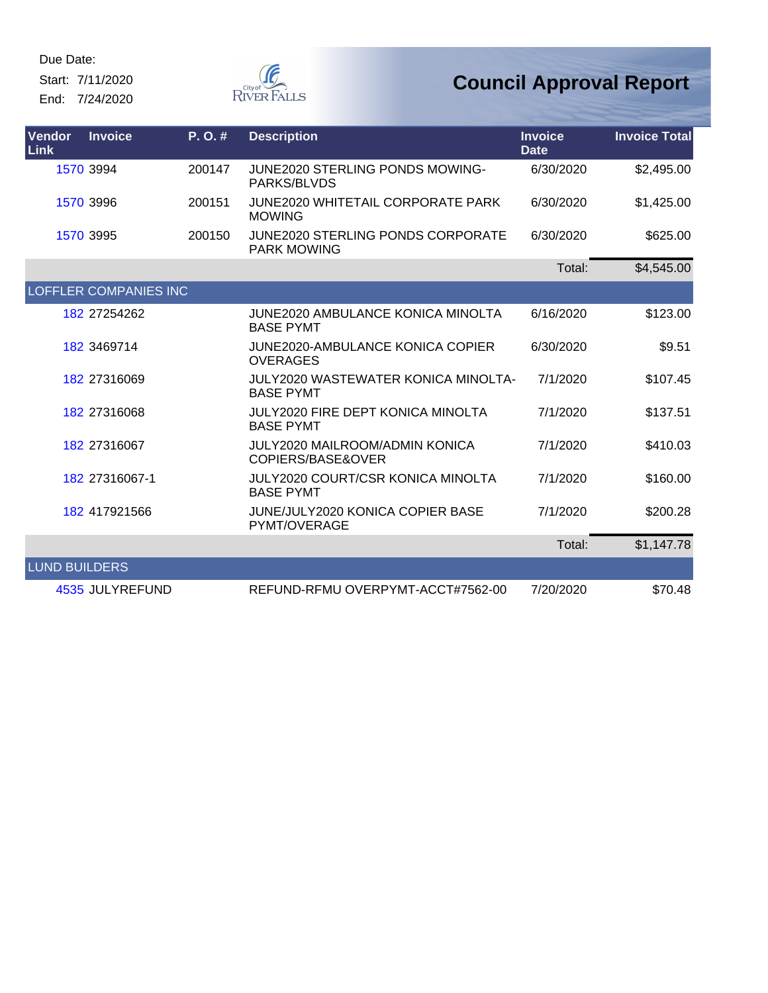Start: 7/11/2020 End: 7/24/2020



| Vendor<br>Link       | <b>Invoice</b>               | P.O.#  | <b>Description</b>                                           | <b>Invoice</b><br><b>Date</b> | <b>Invoice Total</b> |
|----------------------|------------------------------|--------|--------------------------------------------------------------|-------------------------------|----------------------|
|                      | 1570 3994                    | 200147 | JUNE2020 STERLING PONDS MOWING-<br>PARKS/BLVDS               | 6/30/2020                     | \$2,495.00           |
|                      | 1570 3996                    | 200151 | JUNE2020 WHITETAIL CORPORATE PARK<br><b>MOWING</b>           | 6/30/2020                     | \$1,425.00           |
|                      | 1570 3995                    | 200150 | JUNE2020 STERLING PONDS CORPORATE<br><b>PARK MOWING</b>      | 6/30/2020                     | \$625.00             |
|                      |                              |        |                                                              | Total:                        | \$4,545.00           |
|                      | <b>LOFFLER COMPANIES INC</b> |        |                                                              |                               |                      |
|                      | 182 27254262                 |        | JUNE2020 AMBULANCE KONICA MINOLTA<br><b>BASE PYMT</b>        | 6/16/2020                     | \$123.00             |
|                      | 182 3469714                  |        | <b>JUNE2020-AMBULANCE KONICA COPIER</b><br><b>OVERAGES</b>   | 6/30/2020                     | \$9.51               |
|                      | 182 27316069                 |        | JULY2020 WASTEWATER KONICA MINOLTA-<br><b>BASE PYMT</b>      | 7/1/2020                      | \$107.45             |
|                      | 182 27316068                 |        | <b>JULY2020 FIRE DEPT KONICA MINOLTA</b><br><b>BASE PYMT</b> | 7/1/2020                      | \$137.51             |
|                      | 182 27316067                 |        | <b>JULY2020 MAILROOM/ADMIN KONICA</b><br>COPIERS/BASE&OVER   | 7/1/2020                      | \$410.03             |
|                      | 182 27316067-1               |        | <b>JULY2020 COURT/CSR KONICA MINOLTA</b><br><b>BASE PYMT</b> | 7/1/2020                      | \$160.00             |
|                      | 182 417921566                |        | <b>JUNE/JULY2020 KONICA COPIER BASE</b><br>PYMT/OVERAGE      | 7/1/2020                      | \$200.28             |
|                      |                              |        |                                                              | Total:                        | \$1,147.78           |
| <b>LUND BUILDERS</b> |                              |        |                                                              |                               |                      |
|                      | 4535 JULYREFUND              |        | REFUND-RFMU OVERPYMT-ACCT#7562-00                            | 7/20/2020                     | \$70.48              |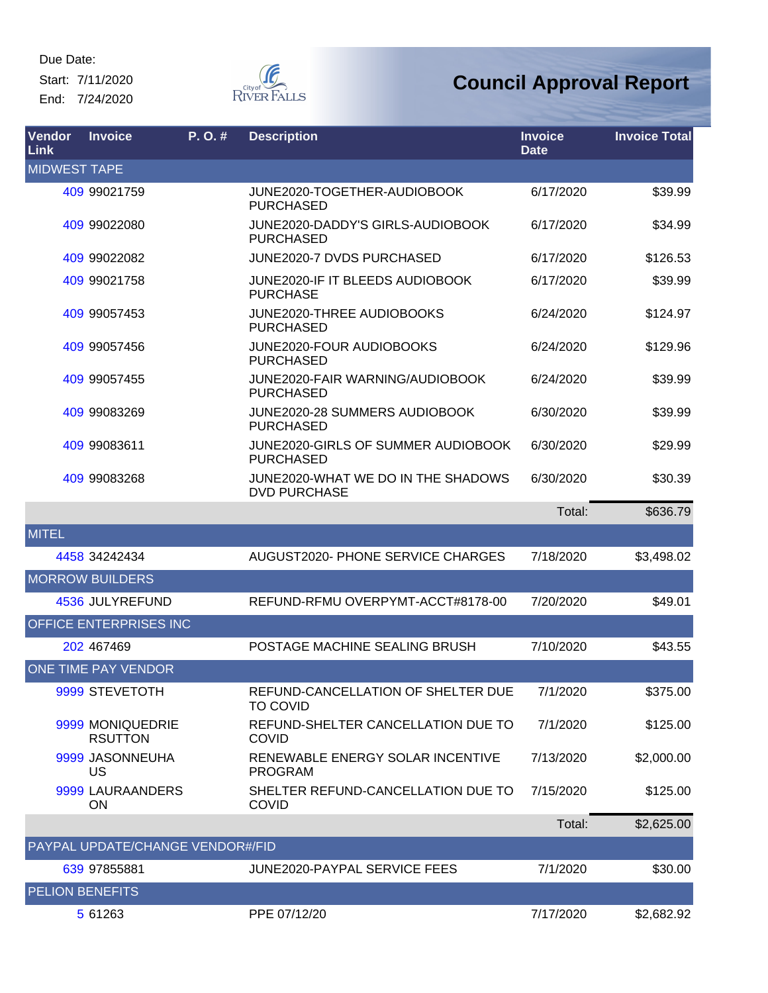Start: 7/11/2020 End: 7/24/2020



| Vendor<br>Link         | <b>Invoice</b>                     | P. O. # | <b>Description</b>                                        | <b>Invoice</b><br><b>Date</b> | <b>Invoice Total</b> |
|------------------------|------------------------------------|---------|-----------------------------------------------------------|-------------------------------|----------------------|
| <b>MIDWEST TAPE</b>    |                                    |         |                                                           |                               |                      |
|                        | 409 99021759                       |         | JUNE2020-TOGETHER-AUDIOBOOK<br><b>PURCHASED</b>           | 6/17/2020                     | \$39.99              |
|                        | 409 99022080                       |         | JUNE2020-DADDY'S GIRLS-AUDIOBOOK<br><b>PURCHASED</b>      | 6/17/2020                     | \$34.99              |
|                        | 409 99022082                       |         | JUNE2020-7 DVDS PURCHASED                                 | 6/17/2020                     | \$126.53             |
|                        | 409 99021758                       |         | JUNE2020-IF IT BLEEDS AUDIOBOOK<br><b>PURCHASE</b>        | 6/17/2020                     | \$39.99              |
|                        | 409 99057453                       |         | JUNE2020-THREE AUDIOBOOKS<br><b>PURCHASED</b>             | 6/24/2020                     | \$124.97             |
|                        | 409 99057456                       |         | <b>JUNE2020-FOUR AUDIOBOOKS</b><br><b>PURCHASED</b>       | 6/24/2020                     | \$129.96             |
|                        | 409 99057455                       |         | JUNE2020-FAIR WARNING/AUDIOBOOK<br><b>PURCHASED</b>       | 6/24/2020                     | \$39.99              |
|                        | 409 99083269                       |         | JUNE2020-28 SUMMERS AUDIOBOOK<br><b>PURCHASED</b>         | 6/30/2020                     | \$39.99              |
|                        | 409 99083611                       |         | JUNE2020-GIRLS OF SUMMER AUDIOBOOK<br><b>PURCHASED</b>    | 6/30/2020                     | \$29.99              |
|                        | 409 99083268                       |         | JUNE2020-WHAT WE DO IN THE SHADOWS<br><b>DVD PURCHASE</b> | 6/30/2020                     | \$30.39              |
|                        |                                    |         |                                                           | Total:                        | \$636.79             |
| <b>MITEL</b>           |                                    |         |                                                           |                               |                      |
|                        | 4458 34242434                      |         | AUGUST2020- PHONE SERVICE CHARGES                         | 7/18/2020                     | \$3,498.02           |
|                        | <b>MORROW BUILDERS</b>             |         |                                                           |                               |                      |
|                        | 4536 JULYREFUND                    |         | REFUND-RFMU OVERPYMT-ACCT#8178-00                         | 7/20/2020                     | \$49.01              |
|                        | OFFICE ENTERPRISES INC             |         |                                                           |                               |                      |
|                        | 202 467469                         |         | POSTAGE MACHINE SEALING BRUSH                             | 7/10/2020                     | \$43.55              |
|                        | ONE TIME PAY VENDOR                |         |                                                           |                               |                      |
|                        | 9999 STEVETOTH                     |         | REFUND-CANCELLATION OF SHELTER DUE<br><b>TO COVID</b>     | 7/1/2020                      | \$375.00             |
|                        | 9999 MONIQUEDRIE<br><b>RSUTTON</b> |         | REFUND-SHELTER CANCELLATION DUE TO<br><b>COVID</b>        | 7/1/2020                      | \$125.00             |
|                        | 9999 JASONNEUHA<br>US              |         | RENEWABLE ENERGY SOLAR INCENTIVE<br><b>PROGRAM</b>        | 7/13/2020                     | \$2,000.00           |
|                        | 9999 LAURAANDERS<br>0N             |         | SHELTER REFUND-CANCELLATION DUE TO<br><b>COVID</b>        | 7/15/2020                     | \$125.00             |
|                        |                                    |         |                                                           | Total:                        | \$2,625.00           |
|                        | PAYPAL UPDATE/CHANGE VENDOR#/FID   |         |                                                           |                               |                      |
|                        | 639 97855881                       |         | <b>JUNE2020-PAYPAL SERVICE FEES</b>                       | 7/1/2020                      | \$30.00              |
| <b>PELION BENEFITS</b> |                                    |         |                                                           |                               |                      |
|                        | 5 61263                            |         | PPE 07/12/20                                              | 7/17/2020                     | \$2,682.92           |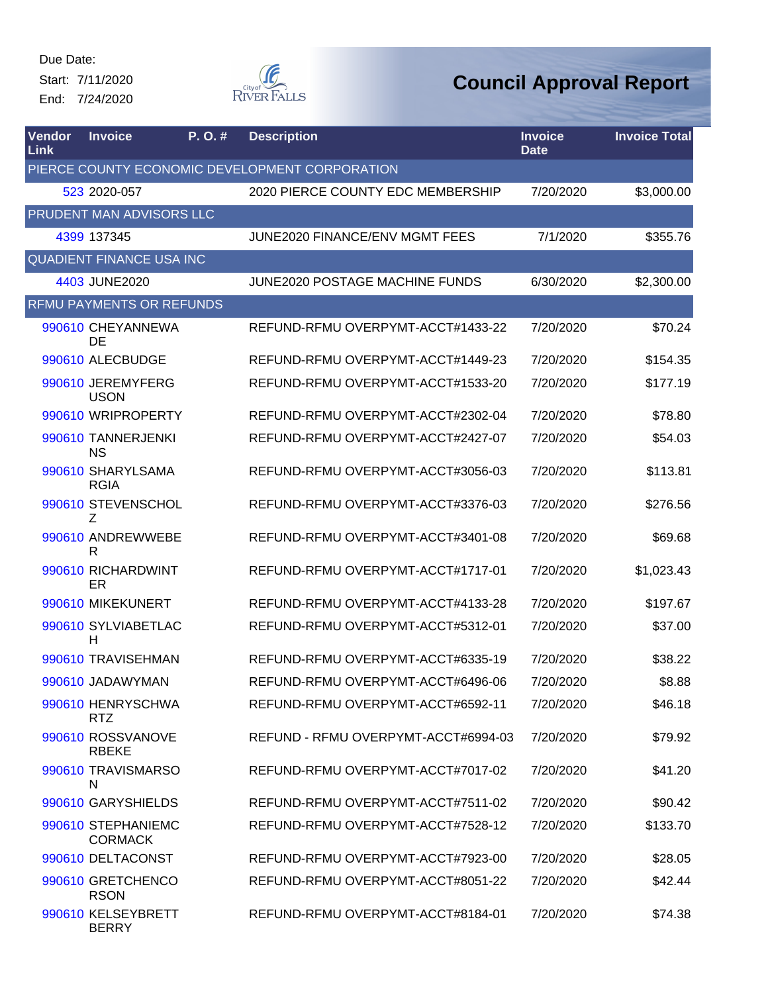Start: 7/11/2020 End: 7/24/2020



| Vendor<br><b>Link</b> | <b>Invoice</b>                       | P. O.# | <b>Description</b>                             | <b>Invoice</b><br><b>Date</b> | <b>Invoice Total</b> |
|-----------------------|--------------------------------------|--------|------------------------------------------------|-------------------------------|----------------------|
|                       |                                      |        | PIERCE COUNTY ECONOMIC DEVELOPMENT CORPORATION |                               |                      |
|                       | 523 2020-057                         |        | 2020 PIERCE COUNTY EDC MEMBERSHIP              | 7/20/2020                     | \$3,000.00           |
|                       | PRUDENT MAN ADVISORS LLC             |        |                                                |                               |                      |
|                       | 4399 137345                          |        | <b>JUNE2020 FINANCE/ENV MGMT FEES</b>          | 7/1/2020                      | \$355.76             |
|                       | <b>QUADIENT FINANCE USA INC</b>      |        |                                                |                               |                      |
|                       | 4403 JUNE2020                        |        | <b>JUNE2020 POSTAGE MACHINE FUNDS</b>          | 6/30/2020                     | \$2,300.00           |
|                       | <b>RFMU PAYMENTS OR REFUNDS</b>      |        |                                                |                               |                      |
|                       | 990610 CHEYANNEWA<br>DE              |        | REFUND-RFMU OVERPYMT-ACCT#1433-22              | 7/20/2020                     | \$70.24              |
|                       | 990610 ALECBUDGE                     |        | REFUND-RFMU OVERPYMT-ACCT#1449-23              | 7/20/2020                     | \$154.35             |
|                       | 990610 JEREMYFERG<br><b>USON</b>     |        | REFUND-RFMU OVERPYMT-ACCT#1533-20              | 7/20/2020                     | \$177.19             |
|                       | 990610 WRIPROPERTY                   |        | REFUND-RFMU OVERPYMT-ACCT#2302-04              | 7/20/2020                     | \$78.80              |
|                       | 990610 TANNERJENKI<br><b>NS</b>      |        | REFUND-RFMU OVERPYMT-ACCT#2427-07              | 7/20/2020                     | \$54.03              |
|                       | 990610 SHARYLSAMA<br><b>RGIA</b>     |        | REFUND-RFMU OVERPYMT-ACCT#3056-03              | 7/20/2020                     | \$113.81             |
|                       | 990610 STEVENSCHOL<br>Z              |        | REFUND-RFMU OVERPYMT-ACCT#3376-03              | 7/20/2020                     | \$276.56             |
|                       | 990610 ANDREWWEBE<br>R               |        | REFUND-RFMU OVERPYMT-ACCT#3401-08              | 7/20/2020                     | \$69.68              |
|                       | 990610 RICHARDWINT<br>ER             |        | REFUND-RFMU OVERPYMT-ACCT#1717-01              | 7/20/2020                     | \$1,023.43           |
|                       | 990610 MIKEKUNERT                    |        | REFUND-RFMU OVERPYMT-ACCT#4133-28              | 7/20/2020                     | \$197.67             |
|                       | 990610 SYLVIABETLAC<br>н             |        | REFUND-RFMU OVERPYMT-ACCT#5312-01              | 7/20/2020                     | \$37.00              |
|                       | 990610 TRAVISEHMAN                   |        | REFUND-RFMU OVERPYMT-ACCT#6335-19              | 7/20/2020                     | \$38.22              |
|                       | 990610 JADAWYMAN                     |        | REFUND-RFMU OVERPYMT-ACCT#6496-06              | 7/20/2020                     | \$8.88               |
|                       | 990610 HENRYSCHWA<br><b>RTZ</b>      |        | REFUND-RFMU OVERPYMT-ACCT#6592-11              | 7/20/2020                     | \$46.18              |
|                       | 990610 ROSSVANOVE<br><b>RBEKE</b>    |        | REFUND - RFMU OVERPYMT-ACCT#6994-03            | 7/20/2020                     | \$79.92              |
|                       | 990610 TRAVISMARSO<br>N              |        | REFUND-RFMU OVERPYMT-ACCT#7017-02              | 7/20/2020                     | \$41.20              |
|                       | 990610 GARYSHIELDS                   |        | REFUND-RFMU OVERPYMT-ACCT#7511-02              | 7/20/2020                     | \$90.42              |
|                       | 990610 STEPHANIEMC<br><b>CORMACK</b> |        | REFUND-RFMU OVERPYMT-ACCT#7528-12              | 7/20/2020                     | \$133.70             |
|                       | 990610 DELTACONST                    |        | REFUND-RFMU OVERPYMT-ACCT#7923-00              | 7/20/2020                     | \$28.05              |
|                       | 990610 GRETCHENCO<br><b>RSON</b>     |        | REFUND-RFMU OVERPYMT-ACCT#8051-22              | 7/20/2020                     | \$42.44              |
|                       | 990610 KELSEYBRETT<br><b>BERRY</b>   |        | REFUND-RFMU OVERPYMT-ACCT#8184-01              | 7/20/2020                     | \$74.38              |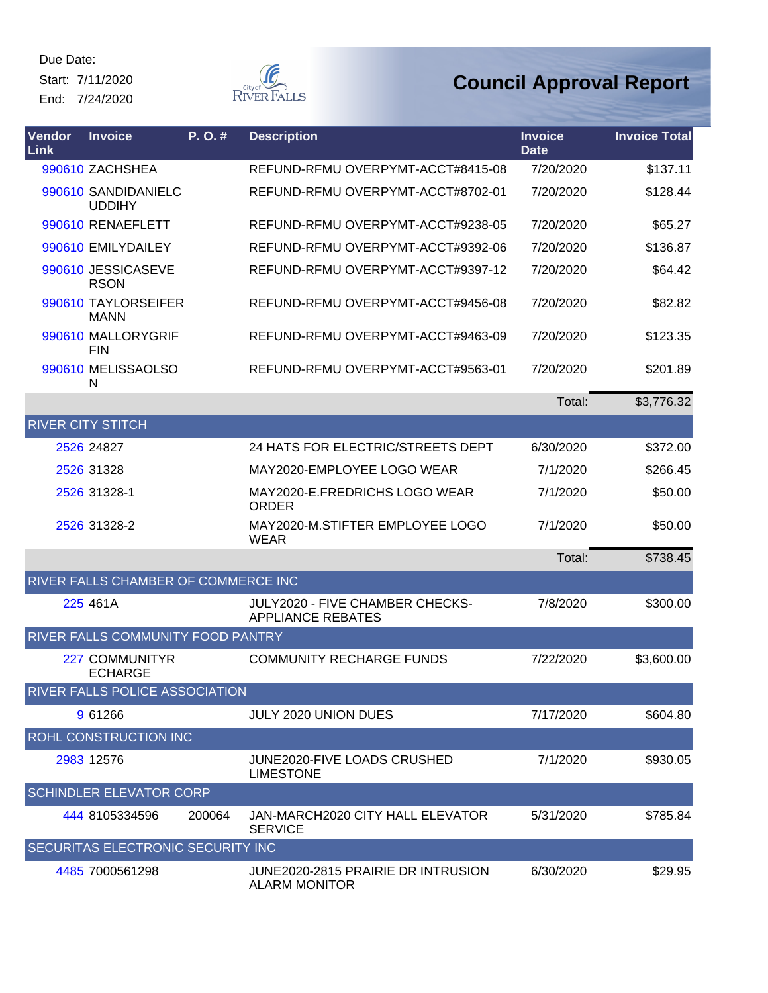Start: 7/11/2020 End: 7/24/2020



| <b>Vendor</b><br>Link | <b>Invoice</b>                          | P. O. # | <b>Description</b>                                                 | <b>Invoice</b><br><b>Date</b> | <b>Invoice Total</b> |
|-----------------------|-----------------------------------------|---------|--------------------------------------------------------------------|-------------------------------|----------------------|
|                       | 990610 ZACHSHEA                         |         | REFUND-RFMU OVERPYMT-ACCT#8415-08                                  | 7/20/2020                     | \$137.11             |
|                       | 990610 SANDIDANIELC<br><b>UDDIHY</b>    |         | REFUND-RFMU OVERPYMT-ACCT#8702-01                                  | 7/20/2020                     | \$128.44             |
|                       | 990610 RENAEFLETT                       |         | REFUND-RFMU OVERPYMT-ACCT#9238-05                                  | 7/20/2020                     | \$65.27              |
|                       | 990610 EMILYDAILEY                      |         | REFUND-RFMU OVERPYMT-ACCT#9392-06                                  | 7/20/2020                     | \$136.87             |
|                       | 990610 JESSICASEVE<br><b>RSON</b>       |         | REFUND-RFMU OVERPYMT-ACCT#9397-12                                  | 7/20/2020                     | \$64.42              |
|                       | 990610 TAYLORSEIFER<br><b>MANN</b>      |         | REFUND-RFMU OVERPYMT-ACCT#9456-08                                  | 7/20/2020                     | \$82.82              |
|                       | 990610 MALLORYGRIF<br><b>FIN</b>        |         | REFUND-RFMU OVERPYMT-ACCT#9463-09                                  | 7/20/2020                     | \$123.35             |
|                       | 990610 MELISSAOLSO<br>N                 |         | REFUND-RFMU OVERPYMT-ACCT#9563-01                                  | 7/20/2020                     | \$201.89             |
|                       |                                         |         |                                                                    | Total:                        | \$3,776.32           |
|                       | <b>RIVER CITY STITCH</b>                |         |                                                                    |                               |                      |
|                       | 2526 24827                              |         | 24 HATS FOR ELECTRIC/STREETS DEPT                                  | 6/30/2020                     | \$372.00             |
|                       | 2526 31328                              |         | MAY2020-EMPLOYEE LOGO WEAR                                         | 7/1/2020                      | \$266.45             |
|                       | 2526 31328-1                            |         | MAY2020-E.FREDRICHS LOGO WEAR<br><b>ORDER</b>                      | 7/1/2020                      | \$50.00              |
|                       | 2526 31328-2                            |         | MAY2020-M.STIFTER EMPLOYEE LOGO<br><b>WEAR</b>                     | 7/1/2020                      | \$50.00              |
|                       |                                         |         |                                                                    | Total:                        | \$738.45             |
|                       | RIVER FALLS CHAMBER OF COMMERCE INC     |         |                                                                    |                               |                      |
|                       | 225 461A                                |         | <b>JULY2020 - FIVE CHAMBER CHECKS-</b><br><b>APPLIANCE REBATES</b> | 7/8/2020                      | \$300.00             |
|                       | RIVER FALLS COMMUNITY FOOD PANTRY       |         |                                                                    |                               |                      |
|                       | <b>227 COMMUNITYR</b><br><b>ECHARGE</b> |         | <b>COMMUNITY RECHARGE FUNDS</b>                                    | 7/22/2020                     | \$3,600.00           |
|                       | RIVER FALLS POLICE ASSOCIATION          |         |                                                                    |                               |                      |
|                       | 9 61266                                 |         | <b>JULY 2020 UNION DUES</b>                                        | 7/17/2020                     | \$604.80             |
|                       | ROHL CONSTRUCTION INC                   |         |                                                                    |                               |                      |
|                       | 2983 12576                              |         | JUNE2020-FIVE LOADS CRUSHED<br><b>LIMESTONE</b>                    | 7/1/2020                      | \$930.05             |
|                       | <b>SCHINDLER ELEVATOR CORP</b>          |         |                                                                    |                               |                      |
|                       | 444 8105334596                          | 200064  | JAN-MARCH2020 CITY HALL ELEVATOR<br><b>SERVICE</b>                 | 5/31/2020                     | \$785.84             |
|                       | SECURITAS ELECTRONIC SECURITY INC       |         |                                                                    |                               |                      |
|                       | 4485 7000561298                         |         | JUNE2020-2815 PRAIRIE DR INTRUSION<br><b>ALARM MONITOR</b>         | 6/30/2020                     | \$29.95              |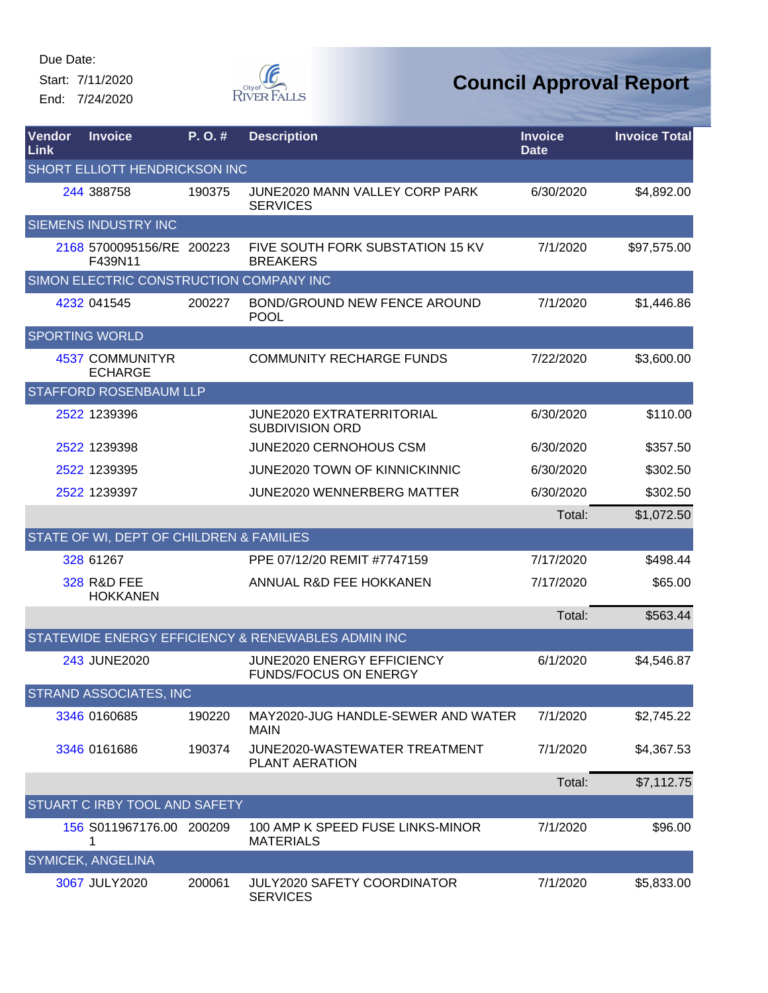Start: 7/11/2020 End: 7/24/2020



| Vendor<br>Link        | <b>Invoice</b>                            | P.O.#  | <b>Description</b>                                                | <b>Invoice</b><br><b>Date</b> | <b>Invoice Total</b> |
|-----------------------|-------------------------------------------|--------|-------------------------------------------------------------------|-------------------------------|----------------------|
|                       | SHORT ELLIOTT HENDRICKSON INC             |        |                                                                   |                               |                      |
|                       | 244 388758                                | 190375 | JUNE2020 MANN VALLEY CORP PARK<br><b>SERVICES</b>                 | 6/30/2020                     | \$4,892.00           |
|                       | <b>SIEMENS INDUSTRY INC</b>               |        |                                                                   |                               |                      |
|                       | 2168 5700095156/RE 200223<br>F439N11      |        | FIVE SOUTH FORK SUBSTATION 15 KV<br><b>BREAKERS</b>               | 7/1/2020                      | \$97,575.00          |
|                       | SIMON ELECTRIC CONSTRUCTION COMPANY INC   |        |                                                                   |                               |                      |
|                       | 4232 041545                               | 200227 | BOND/GROUND NEW FENCE AROUND<br><b>POOL</b>                       | 7/1/2020                      | \$1,446.86           |
| <b>SPORTING WORLD</b> |                                           |        |                                                                   |                               |                      |
|                       | 4537 COMMUNITYR<br><b>ECHARGE</b>         |        | <b>COMMUNITY RECHARGE FUNDS</b>                                   | 7/22/2020                     | \$3,600.00           |
|                       | <b>STAFFORD ROSENBAUM LLP</b>             |        |                                                                   |                               |                      |
|                       | 2522 1239396                              |        | <b>JUNE2020 EXTRATERRITORIAL</b><br><b>SUBDIVISION ORD</b>        | 6/30/2020                     | \$110.00             |
|                       | 2522 1239398                              |        | JUNE2020 CERNOHOUS CSM                                            | 6/30/2020                     | \$357.50             |
|                       | 2522 1239395                              |        | JUNE2020 TOWN OF KINNICKINNIC                                     | 6/30/2020                     | \$302.50             |
|                       | 2522 1239397                              |        | JUNE2020 WENNERBERG MATTER                                        | 6/30/2020                     | \$302.50             |
|                       |                                           |        |                                                                   | Total:                        | \$1,072.50           |
|                       | STATE OF WI, DEPT OF CHILDREN & FAMILIES  |        |                                                                   |                               |                      |
|                       | 328 61267                                 |        | PPE 07/12/20 REMIT #7747159                                       | 7/17/2020                     | \$498.44             |
|                       | <b>328 R&amp;D FEE</b><br><b>HOKKANEN</b> |        | ANNUAL R&D FEE HOKKANEN                                           | 7/17/2020                     | \$65.00              |
|                       |                                           |        |                                                                   | Total:                        | \$563.44             |
|                       |                                           |        | STATEWIDE ENERGY EFFICIENCY & RENEWABLES ADMIN INC                |                               |                      |
|                       | 243 JUNE2020                              |        | <b>JUNE2020 ENERGY EFFICIENCY</b><br><b>FUNDS/FOCUS ON ENERGY</b> | 6/1/2020                      | \$4,546.87           |
|                       | STRAND ASSOCIATES, INC                    |        |                                                                   |                               |                      |
|                       | 3346 0160685                              | 190220 | MAY2020-JUG HANDLE-SEWER AND WATER<br><b>MAIN</b>                 | 7/1/2020                      | \$2,745.22           |
|                       | 3346 0161686                              | 190374 | JUNE2020-WASTEWATER TREATMENT<br>PLANT AERATION                   | 7/1/2020                      | \$4,367.53           |
|                       |                                           |        |                                                                   | Total:                        | \$7,112.75           |
|                       | STUART C IRBY TOOL AND SAFETY             |        |                                                                   |                               |                      |
|                       | 156 S011967176.00 200209<br>1             |        | 100 AMP K SPEED FUSE LINKS-MINOR<br><b>MATERIALS</b>              | 7/1/2020                      | \$96.00              |
|                       | <b>SYMICEK, ANGELINA</b>                  |        |                                                                   |                               |                      |
|                       | 3067 JULY2020                             | 200061 | <b>JULY2020 SAFETY COORDINATOR</b><br><b>SERVICES</b>             | 7/1/2020                      | \$5,833.00           |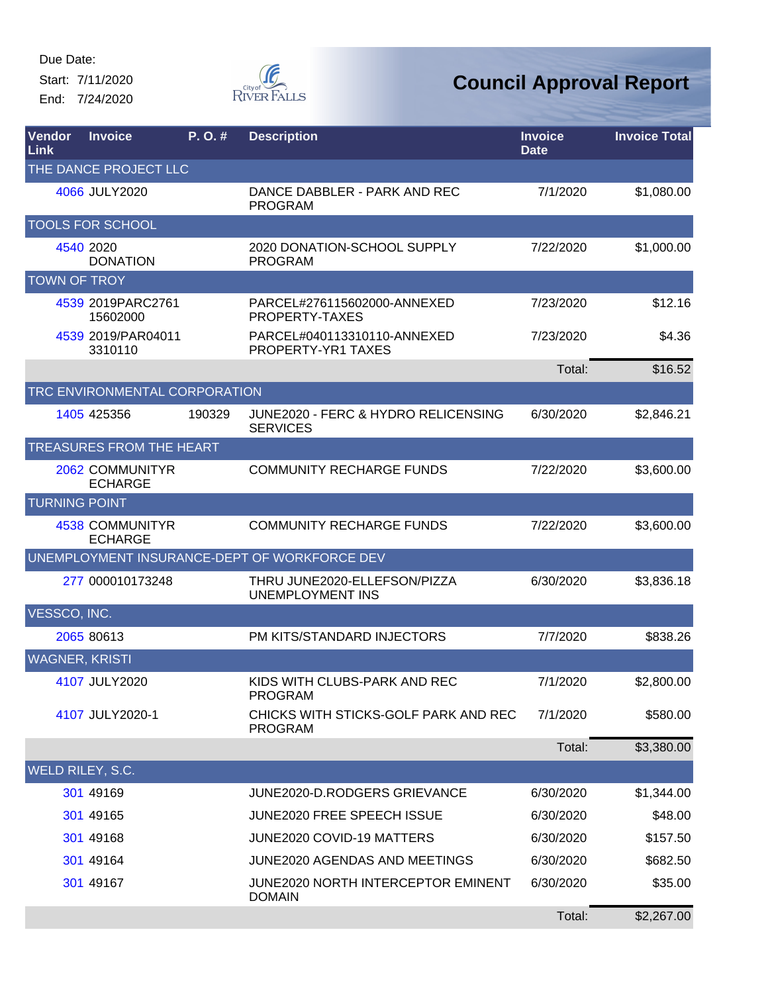Start: 7/11/2020 End: 7/24/2020



| Vendor<br>Link        | <b>Invoice</b>                           | P. O. # | <b>Description</b>                                      | <b>Invoice</b><br><b>Date</b> | <b>Invoice Total</b> |
|-----------------------|------------------------------------------|---------|---------------------------------------------------------|-------------------------------|----------------------|
|                       | THE DANCE PROJECT LLC                    |         |                                                         |                               |                      |
|                       | 4066 JULY2020                            |         | DANCE DABBLER - PARK AND REC<br><b>PROGRAM</b>          | 7/1/2020                      | \$1,080.00           |
|                       | <b>TOOLS FOR SCHOOL</b>                  |         |                                                         |                               |                      |
|                       | 4540 2020<br><b>DONATION</b>             |         | 2020 DONATION-SCHOOL SUPPLY<br><b>PROGRAM</b>           | 7/22/2020                     | \$1,000.00           |
| <b>TOWN OF TROY</b>   |                                          |         |                                                         |                               |                      |
|                       | 4539 2019 PARC 2761<br>15602000          |         | PARCEL#276115602000-ANNEXED<br>PROPERTY-TAXES           | 7/23/2020                     | \$12.16              |
|                       | 4539 2019/PAR04011<br>3310110            |         | PARCEL#040113310110-ANNEXED<br>PROPERTY-YR1 TAXES       | 7/23/2020                     | \$4.36               |
|                       |                                          |         |                                                         | Total:                        | \$16.52              |
|                       | TRC ENVIRONMENTAL CORPORATION            |         |                                                         |                               |                      |
|                       | 1405 425356                              | 190329  | JUNE2020 - FERC & HYDRO RELICENSING<br><b>SERVICES</b>  | 6/30/2020                     | \$2,846.21           |
|                       | <b>TREASURES FROM THE HEART</b>          |         |                                                         |                               |                      |
|                       | 2062 COMMUNITYR<br><b>ECHARGE</b>        |         | <b>COMMUNITY RECHARGE FUNDS</b>                         | 7/22/2020                     | \$3,600.00           |
| <b>TURNING POINT</b>  |                                          |         |                                                         |                               |                      |
|                       | <b>4538 COMMUNITYR</b><br><b>ECHARGE</b> |         | <b>COMMUNITY RECHARGE FUNDS</b>                         | 7/22/2020                     | \$3,600.00           |
|                       |                                          |         | UNEMPLOYMENT INSURANCE-DEPT OF WORKFORCE DEV            |                               |                      |
|                       | 277 000010173248                         |         | THRU JUNE2020-ELLEFSON/PIZZA<br><b>UNEMPLOYMENT INS</b> | 6/30/2020                     | \$3,836.18           |
| <b>VESSCO, INC.</b>   |                                          |         |                                                         |                               |                      |
|                       | 2065 80613                               |         | PM KITS/STANDARD INJECTORS                              | 7/7/2020                      | \$838.26             |
| <b>WAGNER, KRISTI</b> |                                          |         |                                                         |                               |                      |
|                       | 4107 JULY2020                            |         | KIDS WITH CLUBS-PARK AND REC<br><b>PROGRAM</b>          | 7/1/2020                      | \$2,800.00           |
|                       | 4107 JULY2020-1                          |         | CHICKS WITH STICKS-GOLF PARK AND REC<br><b>PROGRAM</b>  | 7/1/2020                      | \$580.00             |
|                       |                                          |         |                                                         | Total:                        | \$3,380.00           |
| WELD RILEY, S.C.      |                                          |         |                                                         |                               |                      |
|                       | 301 49169                                |         | JUNE2020-D.RODGERS GRIEVANCE                            | 6/30/2020                     | \$1,344.00           |
|                       | 301 49165                                |         | JUNE2020 FREE SPEECH ISSUE                              | 6/30/2020                     | \$48.00              |
|                       | 301 49168                                |         | JUNE2020 COVID-19 MATTERS                               | 6/30/2020                     | \$157.50             |
|                       | 301 49164                                |         | JUNE2020 AGENDAS AND MEETINGS                           | 6/30/2020                     | \$682.50             |
|                       | 301 49167                                |         | JUNE2020 NORTH INTERCEPTOR EMINENT<br><b>DOMAIN</b>     | 6/30/2020                     | \$35.00              |
|                       |                                          |         |                                                         | Total:                        | \$2,267.00           |